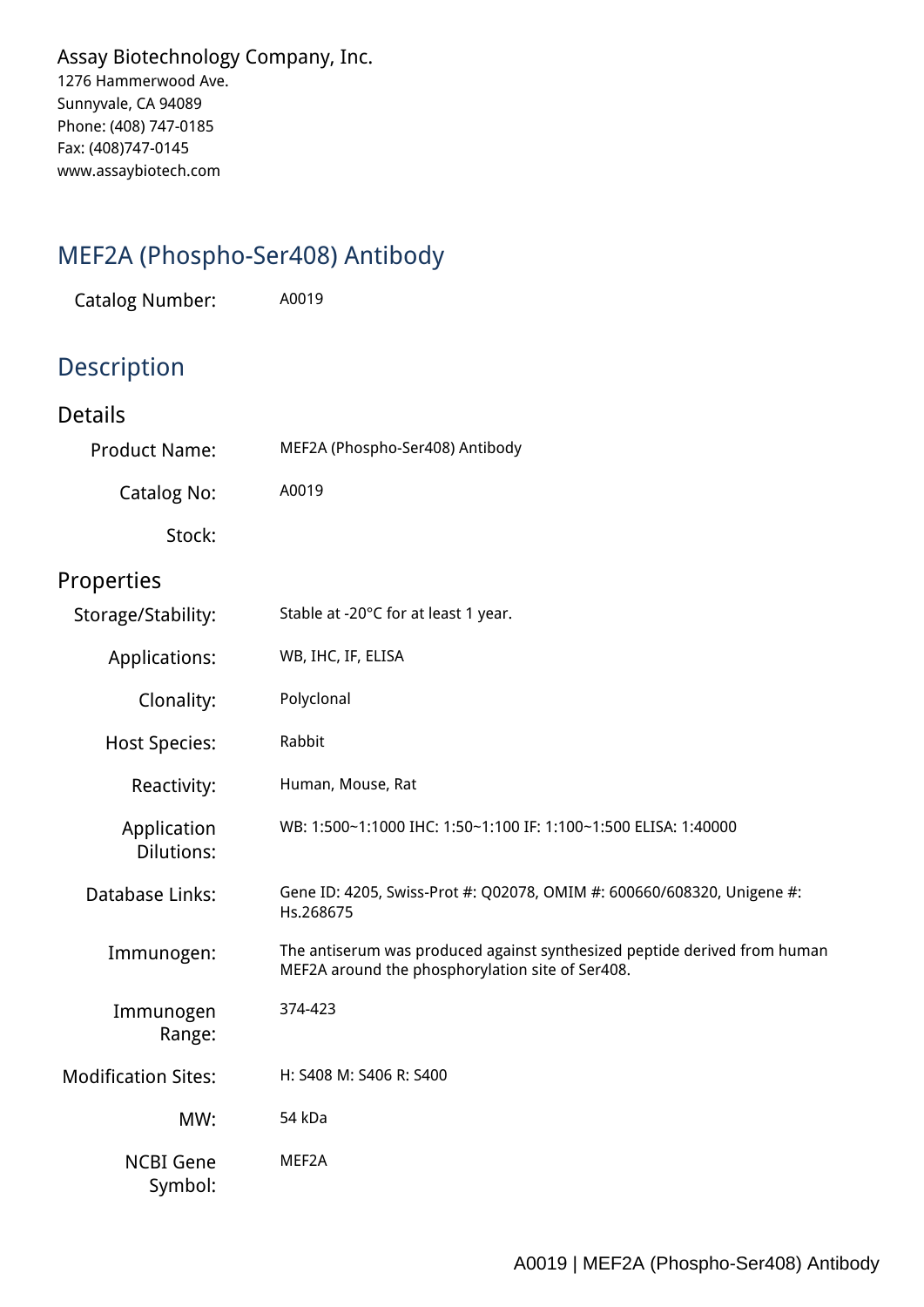*Assay Biotechnology Company, Inc. 1276 Hammerwood Ave. Sunnyvale, CA 94089 Phone: (408) 747-0185 Fax: (408)747-0145 www.assaybiotech.com*

## *MEF2A (Phospho-Ser408) Antibody*

*Catalog Number: A0019*

## *Description*

| <b>Details</b>                   |                                                                                                                               |
|----------------------------------|-------------------------------------------------------------------------------------------------------------------------------|
| <b>Product Name:</b>             | MEF2A (Phospho-Ser408) Antibody                                                                                               |
| <b>Catalog No:</b>               | A0019                                                                                                                         |
| Stock:                           |                                                                                                                               |
| Properties                       |                                                                                                                               |
| Storage/Stability:               | Stable at -20°C for at least 1 year.                                                                                          |
| Applications:                    | WB, IHC, IF, ELISA                                                                                                            |
| Clonality:                       | Polyclonal                                                                                                                    |
| <b>Host Species:</b>             | Rabbit                                                                                                                        |
| Reactivity:                      | Human, Mouse, Rat                                                                                                             |
| Application<br><b>Dilutions:</b> | WB: 1:500~1:1000 IHC: 1:50~1:100 IF: 1:100~1:500 ELISA: 1:40000                                                               |
| Database Links:                  | Gene ID: 4205, Swiss-Prot #: Q02078, OMIM #: 600660/608320, Unigene #:<br>Hs.268675                                           |
| Immunogen:                       | The antiserum was produced against synthesized peptide derived from human<br>MEF2A around the phosphorylation site of Ser408. |
| Immunogen<br>Range:              | 374-423                                                                                                                       |
| <b>Modification Sites:</b>       | H: S408 M: S406 R: S400                                                                                                       |
| MW:                              | 54 kDa                                                                                                                        |
| <b>NCBI Gene</b><br>Symbol:      | MEF2A                                                                                                                         |